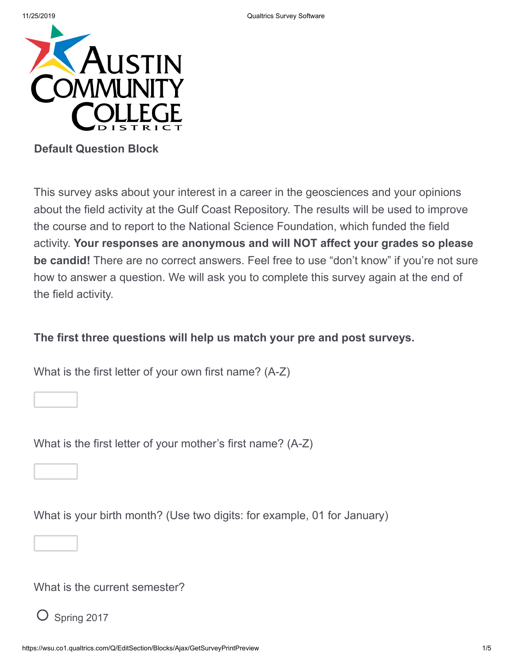

### **Default Question Block**

This survey asks about your interest in a career in the geosciences and your opinions about the field activity at the Gulf Coast Repository. The results will be used to improve the course and to report to the National Science Foundation, which funded the field activity. **Your responses are anonymous and will NOT affect your grades so please be candid!** There are no correct answers. Feel free to use "don't know" if you're not sure how to answer a question. We will ask you to complete this survey again at the end of the field activity.

### **The first three questions will help us match your pre and post surveys.**

What is the first letter of your own first name? (A-Z)

What is the first letter of your mother's first name? (A-Z)

What is your birth month? (Use two digits: for example, 01 for January)

What is the current semester?

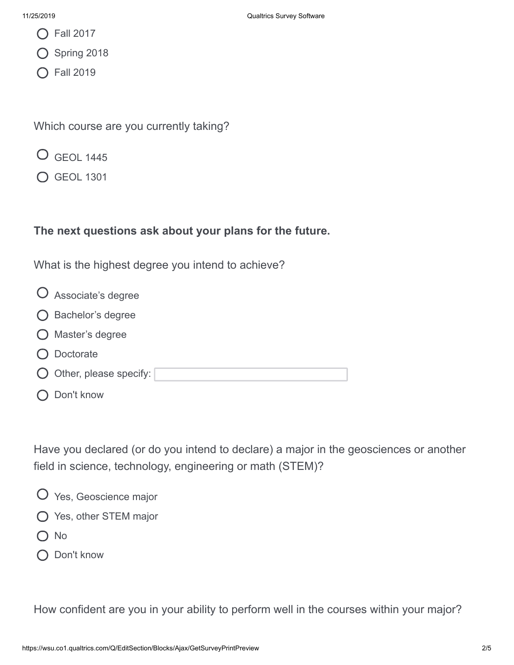- ◯ Fall 2017
- Spring 2018
- ◯ Fall 2019

Which course are you currently taking?

- GEOL 1445
- GEOL 1301

## **The next questions ask about your plans for the future.**

What is the highest degree you intend to achieve?

- Associate's degree
- Bachelor's degree
- Master's degree
- O Doctorate
- $\bigcirc$  Other, please specify:
- O Don't know

Have you declared (or do you intend to declare) a major in the geosciences or another field in science, technology, engineering or math (STEM)?

- Yes, Geoscience major
- Yes, other STEM major
- O No
- O Don't know

How confident are you in your ability to perform well in the courses within your major?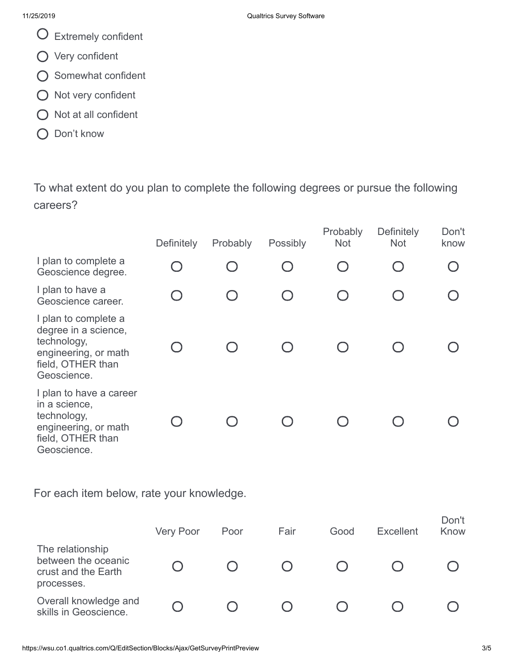- Extremely confident
- Very confident
- O Somewhat confident
- $O$  Not very confident
- $\bigcirc$  Not at all confident
- O Don't know

To what extent do you plan to complete the following degrees or pursue the following careers?

|                                                                                                                         | Definitely | Probably               | <b>Possibly</b> | Probably<br><b>Not</b> | Definitely<br><b>Not</b> | Don't<br>know |
|-------------------------------------------------------------------------------------------------------------------------|------------|------------------------|-----------------|------------------------|--------------------------|---------------|
| I plan to complete a<br>Geoscience degree.                                                                              |            |                        |                 |                        |                          |               |
| I plan to have a<br>Geoscience career.                                                                                  |            | $\left( \quad \right)$ |                 |                        |                          |               |
| I plan to complete a<br>degree in a science,<br>technology,<br>engineering, or math<br>field, OTHER than<br>Geoscience. |            |                        |                 |                        |                          |               |
| I plan to have a career<br>in a science,<br>technology,<br>engineering, or math<br>field, OTHER than<br>Geoscience.     |            |                        |                 |                        |                          |               |

For each item below, rate your knowledge.

|                                                                              | <b>Very Poor</b> | Poor | Fair | Good | <b>Excellent</b> | Don't<br>Know |
|------------------------------------------------------------------------------|------------------|------|------|------|------------------|---------------|
| The relationship<br>between the oceanic<br>crust and the Earth<br>processes. |                  |      |      |      |                  |               |
| Overall knowledge and<br>skills in Geoscience.                               |                  |      |      |      |                  |               |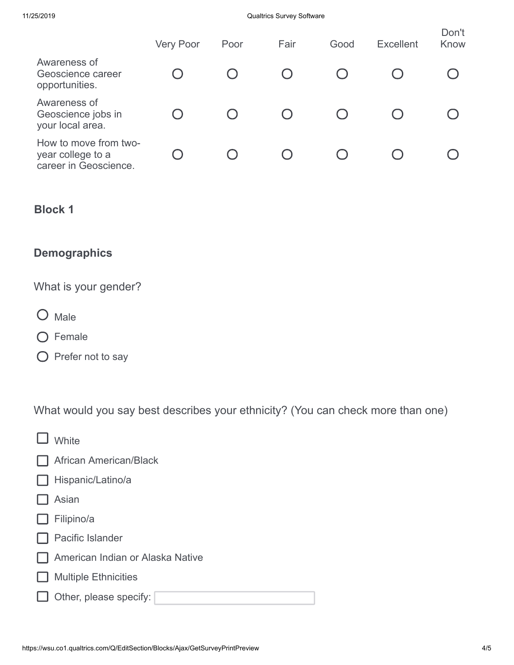#### 11/25/2019 Qualtrics Survey Software

|                                                                     | <b>Very Poor</b> | Poor | Fair | Good | <b>Excellent</b> | Don't<br>Know |
|---------------------------------------------------------------------|------------------|------|------|------|------------------|---------------|
| Awareness of<br>Geoscience career<br>opportunities.                 |                  |      |      |      |                  |               |
| Awareness of<br>Geoscience jobs in<br>your local area.              |                  |      |      |      |                  |               |
| How to move from two-<br>year college to a<br>career in Geoscience. |                  |      |      |      |                  |               |

## **Block 1**

# **Demographics**

What is your gender?

- O Male
- O Female
- $\bigcirc$  Prefer not to say

What would you say best describes your ethnicity? (You can check more than one)

| White                            |
|----------------------------------|
| African American/Black           |
| Hispanic/Latino/a                |
| Asian                            |
| Filipino/a                       |
| <b>Pacific Islander</b>          |
| American Indian or Alaska Native |
| <b>Multiple Ethnicities</b>      |
| Other, please specify:           |